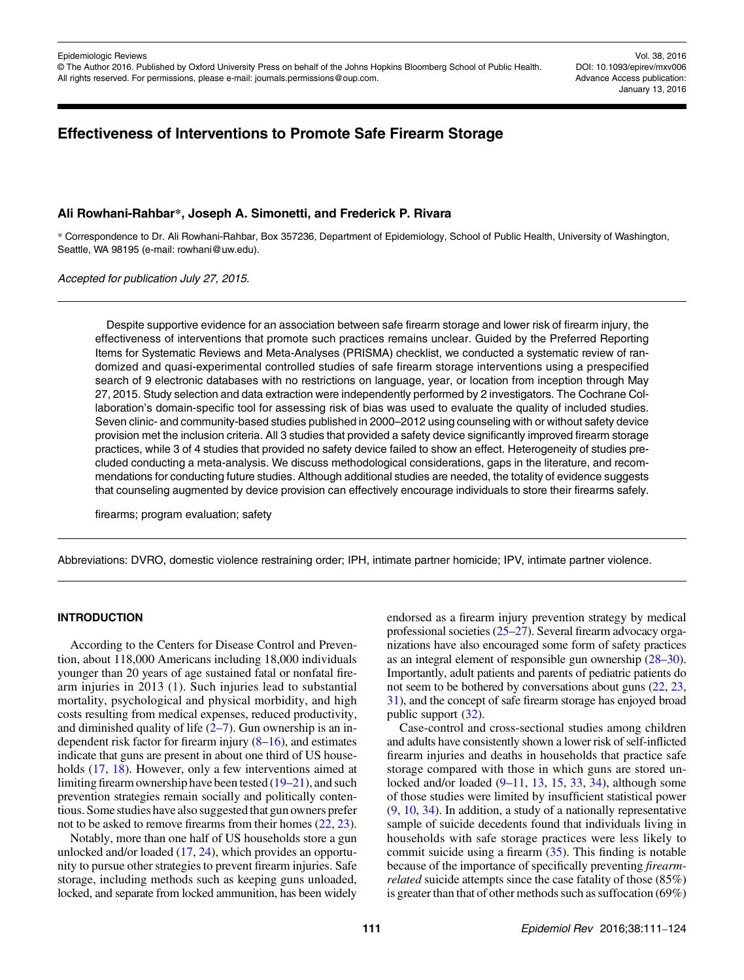# Effectiveness of Interventions to Promote Safe Firearm Storage

# Ali Rowhani-Rahbar\*, Joseph A. Simonetti, and Frederick P. Rivara

\* Correspondence to Dr. Ali Rowhani-Rahbar, Box 357236, Department of Epidemiology, School of Public Health, University of Washington, Seattle, WA 98195 (e-mail: rowhani@uw.edu).

Accepted for publication July 27, 2015.

Despite supportive evidence for an association between safe firearm storage and lower risk of firearm injury, the effectiveness of interventions that promote such practices remains unclear. Guided by the Preferred Reporting Items for Systematic Reviews and Meta-Analyses (PRISMA) checklist, we conducted a systematic review of randomized and quasi-experimental controlled studies of safe firearm storage interventions using a prespecified search of 9 electronic databases with no restrictions on language, year, or location from inception through May 27, 2015. Study selection and data extraction were independently performed by 2 investigators. The Cochrane Collaboration's domain-specific tool for assessing risk of bias was used to evaluate the quality of included studies. Seven clinic- and community-based studies published in 2000–2012 using counseling with or without safety device provision met the inclusion criteria. All 3 studies that provided a safety device significantly improved firearm storage practices, while 3 of 4 studies that provided no safety device failed to show an effect. Heterogeneity of studies precluded conducting a meta-analysis. We discuss methodological considerations, gaps in the literature, and recommendations for conducting future studies. Although additional studies are needed, the totality of evidence suggests that counseling augmented by device provision can effectively encourage individuals to store their firearms safely.

firearms; program evaluation; safety

Abbreviations: DVRO, domestic violence restraining order; IPH, intimate partner homicide; IPV, intimate partner violence.

## INTRODUCTION

According to the Centers for Disease Control and Prevention, about 118,000 Americans including 18,000 individuals younger than 20 years of age sustained fatal or nonfatal firearm injuries in 2013 (1). Such injuries lead to substantial mortality, psychological and physical morbidity, and high costs resulting from medical expenses, reduced productivity, and diminished quality of life  $(2–7)$ . Gun ownership is an independent risk factor for firearm injury (8–16), and estimates indicate that guns are present in about one third of US households  $(17, 18)$ . However, only a few interventions aimed at limiting firearm ownership have been tested (19–21), and such prevention strategies remain socially and politically contentious. Some studies have also suggested that gun owners prefer not to be asked to remove firearms from their homes (22, 23).

Notably, more than one half of US households store a gun unlocked and/or loaded (17, 24), which provides an opportunity to pursue other strategies to prevent firearm injuries. Safe storage, including methods such as keeping guns unloaded, locked, and separate from locked ammunition, has been widely

endorsed as a firearm injury prevention strategy by medical professional societies (25–27). Several firearm advocacy organizations have also encouraged some form of safety practices as an integral element of responsible gun ownership (28–30). Importantly, adult patients and parents of pediatric patients do not seem to be bothered by conversations about guns (22, 23, 31), and the concept of safe firearm storage has enjoyed broad public support (32).

Case-control and cross-sectional studies among children and adults have consistently shown a lower risk of self-inflicted firearm injuries and deaths in households that practice safe storage compared with those in which guns are stored unlocked and/or loaded (9–11, 13, 15, 33, 34), although some of those studies were limited by insufficient statistical power (9, 10, 34). In addition, a study of a nationally representative sample of suicide decedents found that individuals living in households with safe storage practices were less likely to commit suicide using a firearm (35). This finding is notable because of the importance of specifically preventing *firearm*related suicide attempts since the case fatality of those (85%) is greater than that of other methods such as suffocation (69%)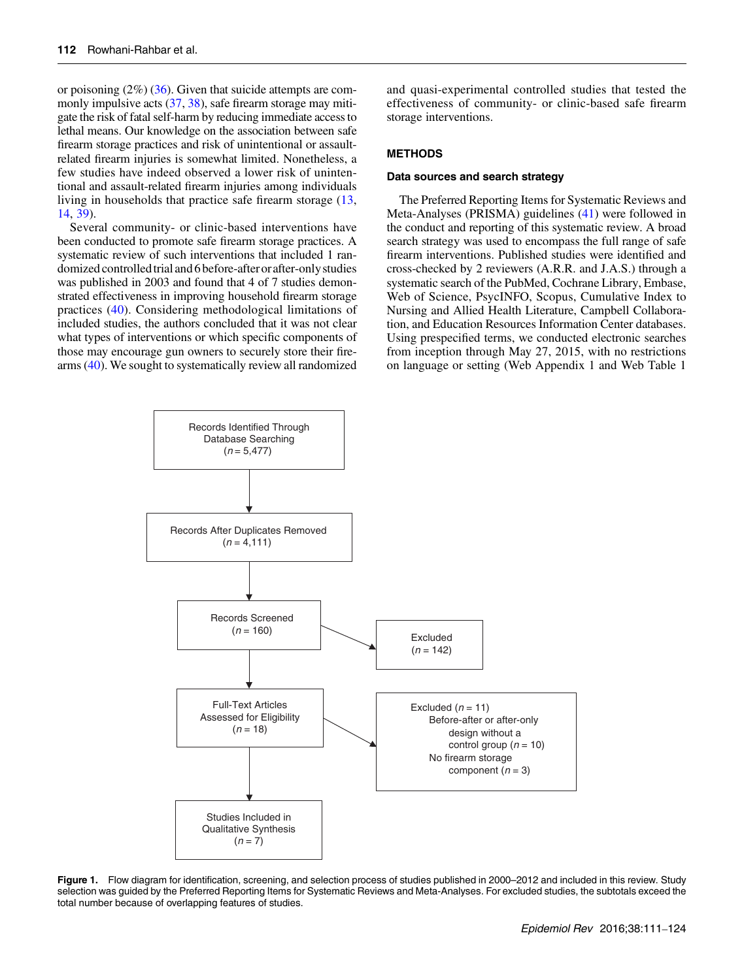or poisoning  $(2\%)$  (36). Given that suicide attempts are commonly impulsive acts (37, 38), safe firearm storage may mitigate the risk of fatal self-harm by reducing immediate access to lethal means. Our knowledge on the association between safe firearm storage practices and risk of unintentional or assaultrelated firearm injuries is somewhat limited. Nonetheless, a few studies have indeed observed a lower risk of unintentional and assault-related firearm injuries among individuals living in households that practice safe firearm storage (13, 14, 39).

Several community- or clinic-based interventions have been conducted to promote safe firearm storage practices. A systematic review of such interventions that included 1 randomized controlled trial and 6 before-after or after-only studies was published in 2003 and found that 4 of 7 studies demonstrated effectiveness in improving household firearm storage practices (40). Considering methodological limitations of included studies, the authors concluded that it was not clear what types of interventions or which specific components of those may encourage gun owners to securely store their firearms (40). We sought to systematically review all randomized

and quasi-experimental controlled studies that tested the effectiveness of community- or clinic-based safe firearm storage interventions.

## **METHODS**

## Data sources and search strategy

The Preferred Reporting Items for Systematic Reviews and Meta-Analyses (PRISMA) guidelines (41) were followed in the conduct and reporting of this systematic review. A broad search strategy was used to encompass the full range of safe firearm interventions. Published studies were identified and cross-checked by 2 reviewers (A.R.R. and J.A.S.) through a systematic search of the PubMed, Cochrane Library, Embase, Web of Science, PsycINFO, Scopus, Cumulative Index to Nursing and Allied Health Literature, Campbell Collaboration, and Education Resources Information Center databases. Using prespecified terms, we conducted electronic searches from inception through May 27, 2015, with no restrictions on language or setting (Web Appendix 1 and Web Table 1



Figure 1. Flow diagram for identification, screening, and selection process of studies published in 2000-2012 and included in this review. Study selection was guided by the Preferred Reporting Items for Systematic Reviews and Meta-Analyses. For excluded studies, the subtotals exceed the total number because of overlapping features of studies.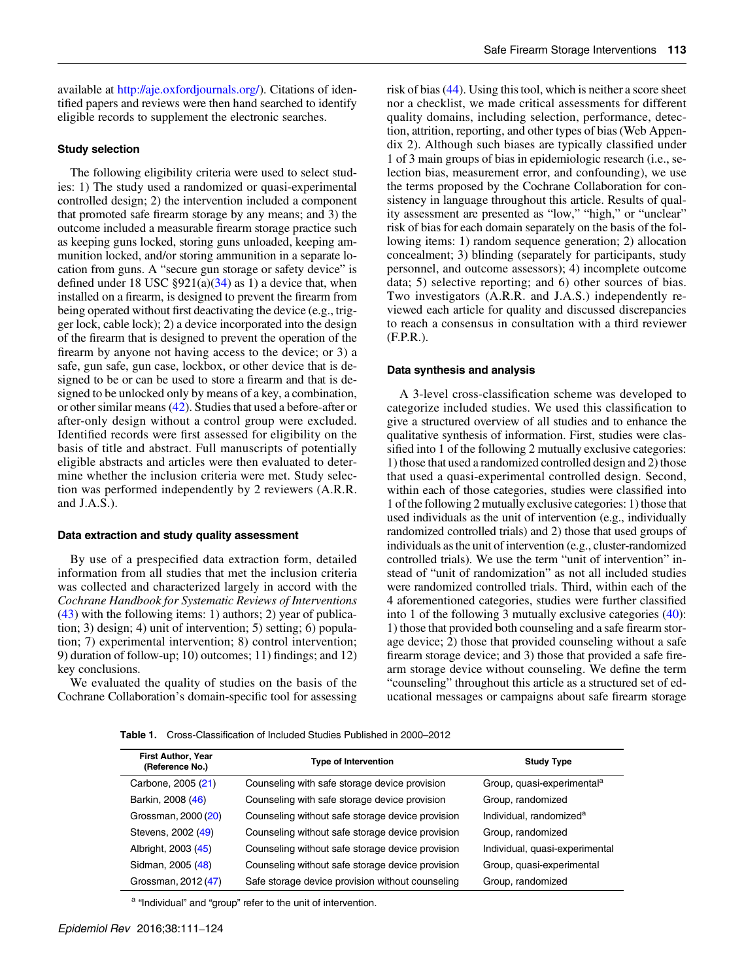available at http://aje.oxfordjournals.org/). Citations of identified papers and reviews were then hand searched to identify eligible records to supplement the electronic searches.

## Study selection

The following eligibility criteria were used to select studies: 1) The study used a randomized or quasi-experimental controlled design; 2) the intervention included a component that promoted safe firearm storage by any means; and 3) the outcome included a measurable firearm storage practice such as keeping guns locked, storing guns unloaded, keeping ammunition locked, and/or storing ammunition in a separate location from guns. A "secure gun storage or safety device" is defined under 18 USC  $\S 921(a)(34)$  as 1) a device that, when installed on a firearm, is designed to prevent the firearm from being operated without first deactivating the device (e.g., trigger lock, cable lock); 2) a device incorporated into the design of the firearm that is designed to prevent the operation of the firearm by anyone not having access to the device; or 3) a safe, gun safe, gun case, lockbox, or other device that is designed to be or can be used to store a firearm and that is designed to be unlocked only by means of a key, a combination, or other similar means (42). Studies that used a before-after or after-only design without a control group were excluded. Identified records were first assessed for eligibility on the basis of title and abstract. Full manuscripts of potentially eligible abstracts and articles were then evaluated to determine whether the inclusion criteria were met. Study selection was performed independently by 2 reviewers (A.R.R. and J.A.S.).

#### Data extraction and study quality assessment

By use of a prespecified data extraction form, detailed information from all studies that met the inclusion criteria was collected and characterized largely in accord with the Cochrane Handbook for Systematic Reviews of Interventions (43) with the following items: 1) authors; 2) year of publication; 3) design; 4) unit of intervention; 5) setting; 6) population; 7) experimental intervention; 8) control intervention; 9) duration of follow-up; 10) outcomes; 11) findings; and 12) key conclusions.

We evaluated the quality of studies on the basis of the Cochrane Collaboration's domain-specific tool for assessing risk of bias (44). Using this tool, which is neither a score sheet nor a checklist, we made critical assessments for different quality domains, including selection, performance, detection, attrition, reporting, and other types of bias (Web Appendix 2). Although such biases are typically classified under 1 of 3 main groups of bias in epidemiologic research (i.e., selection bias, measurement error, and confounding), we use the terms proposed by the Cochrane Collaboration for consistency in language throughout this article. Results of quality assessment are presented as "low," "high," or "unclear" risk of bias for each domain separately on the basis of the following items: 1) random sequence generation; 2) allocation concealment; 3) blinding (separately for participants, study personnel, and outcome assessors); 4) incomplete outcome data; 5) selective reporting; and 6) other sources of bias. Two investigators (A.R.R. and J.A.S.) independently reviewed each article for quality and discussed discrepancies to reach a consensus in consultation with a third reviewer (F.P.R.).

#### Data synthesis and analysis

A 3-level cross-classification scheme was developed to categorize included studies. We used this classification to give a structured overview of all studies and to enhance the qualitative synthesis of information. First, studies were classified into 1 of the following 2 mutually exclusive categories: 1) those that used a randomized controlled design and 2) those that used a quasi-experimental controlled design. Second, within each of those categories, studies were classified into 1 of the following 2 mutually exclusive categories: 1) those that used individuals as the unit of intervention (e.g., individually randomized controlled trials) and 2) those that used groups of individuals as the unit of intervention (e.g., cluster-randomized controlled trials). We use the term "unit of intervention" instead of "unit of randomization" as not all included studies were randomized controlled trials. Third, within each of the 4 aforementioned categories, studies were further classified into 1 of the following 3 mutually exclusive categories (40): 1) those that provided both counseling and a safe firearm storage device; 2) those that provided counseling without a safe firearm storage device; and 3) those that provided a safe firearm storage device without counseling. We define the term "counseling" throughout this article as a structured set of educational messages or campaigns about safe firearm storage

Table 1. Cross-Classification of Included Studies Published in 2000–2012

| <b>First Author, Year</b><br>(Reference No.) | Type of Intervention                             | <b>Study Type</b>                      |
|----------------------------------------------|--------------------------------------------------|----------------------------------------|
| Carbone, 2005 (21)                           | Counseling with safe storage device provision    | Group, quasi-experimental <sup>a</sup> |
| Barkin, 2008 (46)                            | Counseling with safe storage device provision    | Group, randomized                      |
| Grossman, 2000 (20)                          | Counseling without safe storage device provision | Individual, randomized <sup>a</sup>    |
| Stevens, 2002 (49)                           | Counseling without safe storage device provision | Group, randomized                      |
| Albright, 2003 (45)                          | Counseling without safe storage device provision | Individual, quasi-experimental         |
| Sidman, 2005 (48)                            | Counseling without safe storage device provision | Group, quasi-experimental              |
| Grossman, 2012 (47)                          | Safe storage device provision without counseling | Group, randomized                      |

a "Individual" and "group" refer to the unit of intervention.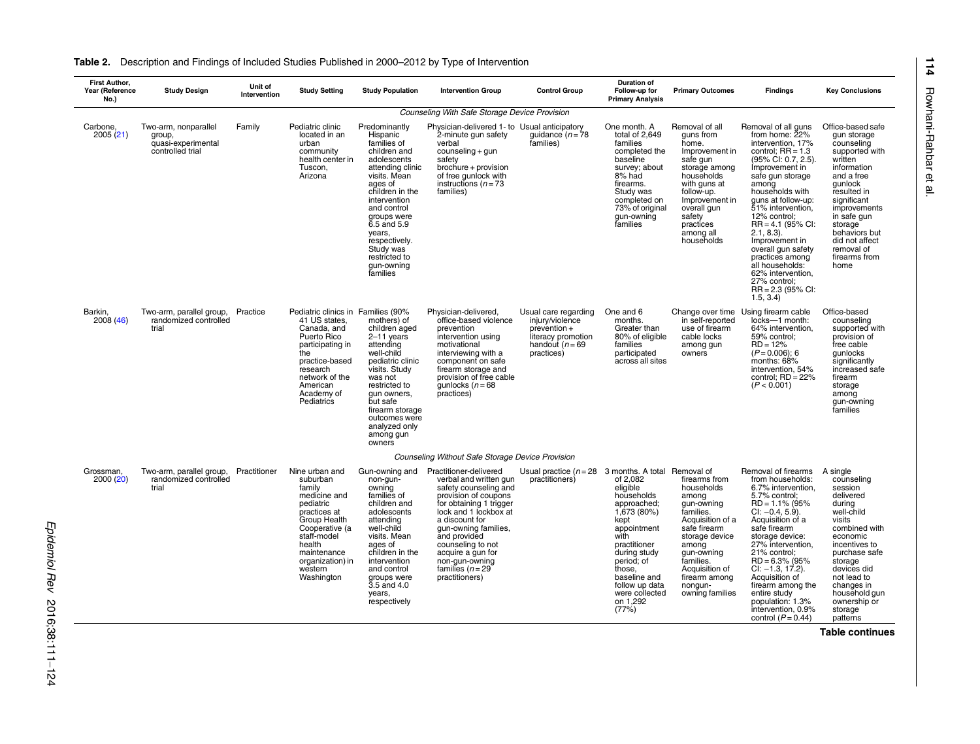114 Rowhani-Rahbar et al. Rowhani-Rahbar et al.

| <b>Table 2.</b> Description and Findings of Included Studies Published in 2000–2012 by Type of Intervention |  |  |
|-------------------------------------------------------------------------------------------------------------|--|--|
|                                                                                                             |  |  |

| First Author,<br>Year (Reference<br>No.) | <b>Study Design</b>                                                      | Unit of<br>Intervention | <b>Study Setting</b>                                                                                                                                                                                     | <b>Study Population</b>                                                                                                                                                                                                                                                                       | <b>Intervention Group</b>                                                                                                                                                                                                                                                                                          | <b>Control Group</b>                                                                                            | <b>Duration of</b><br>Follow-up for<br><b>Primary Analysis</b>                                                                                                                                                                                                   | <b>Primary Outcomes</b>                                                                                                                                                                                                    | <b>Findings</b>                                                                                                                                                                                                                                                                                                                                                                                                                      | <b>Key Conclusions</b>                                                                                                                                                                                                                                                                   |
|------------------------------------------|--------------------------------------------------------------------------|-------------------------|----------------------------------------------------------------------------------------------------------------------------------------------------------------------------------------------------------|-----------------------------------------------------------------------------------------------------------------------------------------------------------------------------------------------------------------------------------------------------------------------------------------------|--------------------------------------------------------------------------------------------------------------------------------------------------------------------------------------------------------------------------------------------------------------------------------------------------------------------|-----------------------------------------------------------------------------------------------------------------|------------------------------------------------------------------------------------------------------------------------------------------------------------------------------------------------------------------------------------------------------------------|----------------------------------------------------------------------------------------------------------------------------------------------------------------------------------------------------------------------------|--------------------------------------------------------------------------------------------------------------------------------------------------------------------------------------------------------------------------------------------------------------------------------------------------------------------------------------------------------------------------------------------------------------------------------------|------------------------------------------------------------------------------------------------------------------------------------------------------------------------------------------------------------------------------------------------------------------------------------------|
|                                          |                                                                          |                         |                                                                                                                                                                                                          |                                                                                                                                                                                                                                                                                               | Counseling With Safe Storage Device Provision                                                                                                                                                                                                                                                                      |                                                                                                                 |                                                                                                                                                                                                                                                                  |                                                                                                                                                                                                                            |                                                                                                                                                                                                                                                                                                                                                                                                                                      |                                                                                                                                                                                                                                                                                          |
| Carbone,<br>2005(21)                     | Two-arm, nonparallel<br>group,<br>quasi-experimental<br>controlled trial | Family                  | Pediatric clinic<br>located in an<br>urban<br>community<br>health center in<br>Tuscon,<br>Arizona                                                                                                        | Predominantly<br>Hispanic<br>families of<br>children and<br>adolescents<br>attending clinic<br>visits. Mean<br>ages of<br>children in the<br>intervention<br>and control<br>groups were<br>$6.5$ and $5.9$<br>years,<br>respectively.<br>Study was<br>restricted to<br>qun-owning<br>families | Physician-delivered 1- to Usual anticipatory<br>2-minute gun safety<br>verbal<br>counseling + gun<br>safety<br>brochure + provision<br>of free gunlock with<br>instructions ( $n = 73$<br>families)                                                                                                                | quidance $(n=78)$<br>families)                                                                                  | One month. A<br>total of 2,649<br>families<br>completed the<br>baseline<br>survey; about<br>8% had<br>firearms.<br>Study was<br>completed on<br>73% of original<br>qun-owning<br>families                                                                        | Removal of all<br>quns from<br>home.<br>Improvement in<br>safe gun<br>storage among<br>households<br>with guns at<br>follow-up.<br>Improvement in<br>overall gun<br>safety<br>practices<br>among all<br>households         | Removal of all guns<br>from home: 22%<br>intervention. 17%<br>control; $RR = 1.3$<br>(95% CI: 0.7, 2.5).<br>Improvement in<br>safe gun storage<br>among<br>households with<br>quns at follow-up:<br>51% intervention.<br>12% control:<br>$RR = 4.1 (95% CI:$<br>$2.1, 8.3$ ).<br>Improvement in<br>overall gun safety<br>practices among<br>all households:<br>62% intervention.<br>27% control;<br>$RR = 2.3 (95\% CI:$<br>1.5, 3.4 | Office-based safe<br>qun storage<br>counseling<br>supported with<br>written<br>information<br>and a free<br>qunlock<br>resulted in<br>significant<br>improvements<br>in safe gun<br>storage<br>behaviors but<br>did not affect<br>removal of<br>firearms from<br>home                    |
| Barkin,<br>2008(46)                      | Two-arm, parallel group,<br>randomized controlled<br>trial               | Practice                | Pediatric clinics in Families (90%<br>41 US states,<br>Canada, and<br>Puerto Rico<br>participating in<br>the<br>practice-based<br>research<br>network of the<br>American<br>Academy of<br>Pediatrics     | mothers) of<br>children aged<br>$2-11$ years<br>attending<br>well-child<br>pediatric clinic<br>visits. Study<br>was not<br>restricted to<br>qun owners.<br>but safe<br>firearm storage<br>outcomes were<br>analyzed only<br>among gun<br>owners                                               | Physician-delivered,<br>office-based violence<br>prevention<br>intervention using<br>motivational<br>interviewing with a<br>component on safe<br>firearm storage and<br>provision of free cable<br>qunlocks $(n = 68)$<br>practices)                                                                               | Usual care regarding<br>injury/violence<br>prevention +<br>literacy promotion<br>handout $(n=69)$<br>practices) | One and 6<br>months.<br>Greater than<br>80% of eligible<br>families<br>participated<br>across all sites                                                                                                                                                          | in self-reported<br>use of firearm<br>cable locks<br>among gun<br>owners                                                                                                                                                   | Change over time Using firearm cable<br>locks-1 month:<br>64% intervention.<br>59% control;<br>$RD = 12%$<br>$(P = 0.006)$ ; 6<br>months: 68%<br>intervention, 54%<br>control; $RD = 22%$<br>(P < 0.001)                                                                                                                                                                                                                             | Office-based<br>counseling<br>supported with<br>provision of<br>free cable<br>qunlocks<br>significantly<br>increased safe<br>firearm<br>storage<br>among<br>qun-owning<br>families                                                                                                       |
|                                          |                                                                          |                         |                                                                                                                                                                                                          |                                                                                                                                                                                                                                                                                               | Counseling Without Safe Storage Device Provision                                                                                                                                                                                                                                                                   |                                                                                                                 |                                                                                                                                                                                                                                                                  |                                                                                                                                                                                                                            |                                                                                                                                                                                                                                                                                                                                                                                                                                      |                                                                                                                                                                                                                                                                                          |
| Grossman,<br>2000 (20)                   | Two-arm, parallel group,<br>randomized controlled<br>trial               | Practitioner            | Nine urban and<br>suburban<br>family<br>medicine and<br>pediatric<br>practices at<br>Group Health<br>Cooperative (a<br>staff-model<br>health<br>maintenance<br>organization) in<br>western<br>Washington | Gun-owning and<br>non-gun-<br>owning<br>families of<br>children and<br>adolescents<br>attending<br>well-child<br>visits. Mean<br>ages of<br>children in the<br>intervention<br>and control<br>groups were<br>3.5 and 4.0<br>years,<br>respectively                                            | Practitioner-delivered<br>verbal and written gun<br>safety counseling and<br>provision of coupons<br>for obtaining 1 trigger<br>lock and 1 lockbox at<br>a discount for<br>gun-owning families,<br>and provided<br>counseling to not<br>acquire a gun for<br>non-gun-owning<br>families $(n=29)$<br>practitioners) | Usual practice $(n=28$<br>practitioners)                                                                        | 3 months. A total Removal of<br>of 2,082<br>eligible<br>households<br>approached:<br>1,673 (80%)<br>kept<br>appointment<br>with<br>practitioner<br>during study<br>period; of<br>those.<br>baseline and<br>follow up data<br>were collected<br>on 1,292<br>(77%) | firearms from<br>households<br>among<br>aun-owning<br>families.<br>Acquisition of a<br>safe firearm<br>storage device<br>among<br>gun-owning<br>families.<br>Acquisition of<br>firearm among<br>nongun-<br>owning families | Removal of firearms<br>from households:<br>6.7% intervention,<br>5.7% control;<br>$RD = 1.1\%$ (95%)<br>$Cl: -0.4, 5.9$ ).<br>Acquisition of a<br>safe firearm<br>storage device:<br>27% intervention,<br>21% control;<br>$RD = 6.3\%$ (95%)<br>$Cl: -1.3, 17.2$ ).<br>Acquisition of<br>firearm among the<br>entire study<br>population: 1.3%<br>intervention, 0.9%<br>control ( $P = 0.44$ )                                       | A single<br>counseling<br>session<br>delivered<br>during<br>well-child<br>visits<br>combined with<br>economic<br>incentives to<br>purchase safe<br>storage<br>devices did<br>not lead to<br>changes in<br>household gun<br>ownership or<br>storage<br>patterns<br><b>Table continues</b> |
|                                          |                                                                          |                         |                                                                                                                                                                                                          |                                                                                                                                                                                                                                                                                               |                                                                                                                                                                                                                                                                                                                    |                                                                                                                 |                                                                                                                                                                                                                                                                  |                                                                                                                                                                                                                            |                                                                                                                                                                                                                                                                                                                                                                                                                                      |                                                                                                                                                                                                                                                                                          |
|                                          |                                                                          |                         |                                                                                                                                                                                                          |                                                                                                                                                                                                                                                                                               |                                                                                                                                                                                                                                                                                                                    |                                                                                                                 |                                                                                                                                                                                                                                                                  |                                                                                                                                                                                                                            |                                                                                                                                                                                                                                                                                                                                                                                                                                      |                                                                                                                                                                                                                                                                                          |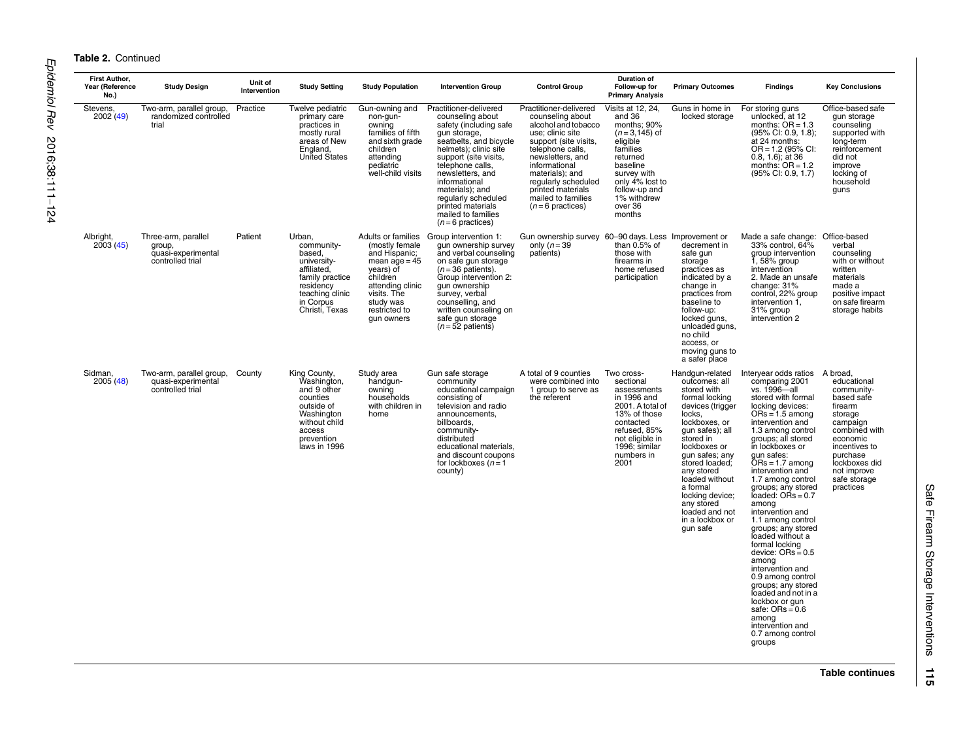Epidemiol Rev

2016;38:111–124

Epidemiol Rev 2016;38:111-124

| <b>First Author.</b><br>Year (Reference<br>No.) | <b>Study Design</b>                                                       | Unit of<br>Intervention | <b>Study Setting</b>                                                                                                                           | <b>Study Population</b>                                                                                                                                                          | <b>Intervention Group</b>                                                                                                                                                                                                                                                                                                           | <b>Control Group</b>                                                                                                                                                                                                                                                              | <b>Duration of</b><br>Follow-up for<br><b>Primary Analysis</b>                                                                                                                                          | <b>Primary Outcomes</b>                                                                                                                                                                                                                                                                                                            | <b>Findings</b>                                                                                                                                                                                                                                                                                                                                                                                                                                                                                                                                                                                                                                                                               | <b>Key Conclusions</b>                                                                                                                                                                           |
|-------------------------------------------------|---------------------------------------------------------------------------|-------------------------|------------------------------------------------------------------------------------------------------------------------------------------------|----------------------------------------------------------------------------------------------------------------------------------------------------------------------------------|-------------------------------------------------------------------------------------------------------------------------------------------------------------------------------------------------------------------------------------------------------------------------------------------------------------------------------------|-----------------------------------------------------------------------------------------------------------------------------------------------------------------------------------------------------------------------------------------------------------------------------------|---------------------------------------------------------------------------------------------------------------------------------------------------------------------------------------------------------|------------------------------------------------------------------------------------------------------------------------------------------------------------------------------------------------------------------------------------------------------------------------------------------------------------------------------------|-----------------------------------------------------------------------------------------------------------------------------------------------------------------------------------------------------------------------------------------------------------------------------------------------------------------------------------------------------------------------------------------------------------------------------------------------------------------------------------------------------------------------------------------------------------------------------------------------------------------------------------------------------------------------------------------------|--------------------------------------------------------------------------------------------------------------------------------------------------------------------------------------------------|
| Stevens.<br>2002 (49)                           | Two-arm, parallel group,<br>randomized controlled<br>trial                | Practice                | Twelve pediatric<br>primary care<br>practices in<br>mostly rural<br>areas of New<br>England.<br><b>United States</b>                           | Gun-owning and<br>non-gun-<br>owning<br>families of fifth<br>and sixth grade<br>children<br>attending<br>pediatric<br>well-child visits                                          | Practitioner-delivered<br>counseling about<br>safety (including safe<br>gun storage,<br>seatbelts, and bicycle<br>helmets): clinic site<br>support (site visits.<br>telephone calls.<br>newsletters, and<br>informational<br>materials); and<br>requiarly scheduled<br>printed materials<br>mailed to families<br>$(n=6$ practices) | Practitioner-delivered<br>counseling about<br>alcohol and tobacco<br>use; clinic site<br>support (site visits,<br>telephone calls,<br>newsletters, and<br>informational<br>materials); and<br>regularly scheduled<br>printed materials<br>mailed to families<br>$(n=6$ practices) | Visits at 12, 24.<br>and 36<br>months; 90%<br>$(n=3, 145)$ of<br>eligible<br>families<br>returned<br>baseline<br>survey with<br>only $4\%$ lost to<br>follow-up and<br>1% withdrew<br>over 36<br>months | Guns in home in<br>locked storage                                                                                                                                                                                                                                                                                                  | For storing guns<br>unlocked, at 12<br>months: $OR = 1.3$<br>(95% CI: 0.9, 1.8);<br>at 24 months:<br>$OR = 1.2$ (95% CI:<br>$0.8, 1.6$ ; at 36<br>months: $OR = 1.2$<br>(95% CI: 0.9, 1.7)                                                                                                                                                                                                                                                                                                                                                                                                                                                                                                    | Office-based safe<br>qun storage<br>counseling<br>supported with<br>long-term<br>reinforcement<br>did not<br>improve<br>locking of<br>household<br>guns                                          |
| Albright,<br>2003(45)                           | Three-arm, parallel<br>group,<br>quasi-experimental<br>controlled trial   | Patient                 | Urban.<br>community-<br>based,<br>university-<br>affiliated,<br>family practice<br>residency<br>teaching clinic<br>in Corpus<br>Christi, Texas | Adults or families<br>(mostly female<br>and Hispanic;<br>mean $age = 45$<br>years) of<br>children<br>attending clinic<br>visits. The<br>study was<br>restricted to<br>gun owners | Group intervention 1:<br>gun ownership survey<br>and verbal counseling<br>on safe gun storage<br>$(n=36$ patients).<br>Group intervention 2:<br>gun ownership<br>survey, verbal<br>counselling, and<br>written counseling on<br>safe gun storage<br>$(n=52$ patients)                                                               | Gun ownership survey<br>only ( $n = 39$ )<br>patients)                                                                                                                                                                                                                            | 60-90 days. Less Improvement or<br>than 0.5% of<br>those with<br>firearms in<br>home refused<br>participation                                                                                           | decrement in<br>safe gun<br>storage<br>practices as<br>indicated by a<br>change in<br>practices from<br>baseline to<br>follow-up:<br>locked guns,<br>unloaded guns,<br>no child<br>access, or<br>moving guns to<br>a safer place                                                                                                   | Made a safe change: Office-based<br>33% control, 64%<br>group intervention<br>$1,58%$ group<br>intervention<br>2. Made an unsafe<br>change: 31%<br>control, 22% group<br>intervention 1,<br>31% group<br>intervention 2                                                                                                                                                                                                                                                                                                                                                                                                                                                                       | verbal<br>counseling<br>with or without<br>written<br>materials<br>made a<br>positive impact<br>on safe firearm<br>storage habits                                                                |
| Sidman,<br>2005 (48)                            | Two-arm, parallel group, County<br>quasi-experimental<br>controlled trial |                         | King County,<br>Washington,<br>and 9 other<br>counties<br>outside of<br>Washington<br>without child<br>access<br>prevention<br>laws in 1996    | Study area<br>handgun-<br>owning<br>households<br>with children in<br>home                                                                                                       | Gun safe storage<br>community<br>educational campaign<br>consisting of<br>television and radio<br>announcements.<br>billboards,<br>community-<br>distributed<br>educational materials,<br>and discount coupons<br>for lockboxes $(n=1)$<br>county)                                                                                  | A total of 9 counties<br>were combined into<br>1 group to serve as<br>the referent                                                                                                                                                                                                | Two cross-<br>sectional<br>assessments<br>in 1996 and<br>2001. A total of<br>13% of those<br>contacted<br>refused, 85%<br>not eligible in<br>1996; similar<br>numbers in<br>2001                        | Handgun-related<br>outcomes: all<br>stored with<br>formal locking<br>devices (trigger<br>locks.<br>lockboxes, or<br>gun safes); all<br>stored in<br>lockboxes or<br>gun safes; any<br>stored loaded:<br>any stored<br>loaded without<br>a formal<br>locking device;<br>any stored<br>loaded and not<br>in a lockbox or<br>qun safe | Interyear odds ratios A broad,<br>comparing 2001<br>vs. 1996-all<br>stored with formal<br>locking devices:<br>$ORS = 1.5$ among<br>intervention and<br>1.3 among control<br>groups; all stored<br>in lockboxes or<br>qun safes:<br>$\overline{O}$ Rs = 1.7 among<br>intervention and<br>1.7 among control<br>groups; any stored<br>loaded: $Ofs = 0.7$<br>among<br>intervention and<br>1.1 among control<br>groups; any stored<br>loaded without a<br>formal locking<br>device: $ORs = 0.5$<br>among<br>intervention and<br>0.9 among control<br>groups; any stored<br>loaded and not in a<br>lockbox or gun<br>safe: $ORs = 0.6$<br>among<br>intervention and<br>0.7 among control<br>groups | educational<br>community-<br>based safe<br>firearm<br>storage<br>campaign<br>combined with<br>economic<br>incentives to<br>purchase<br>lockboxes did<br>not improve<br>safe storage<br>practices |

Table continues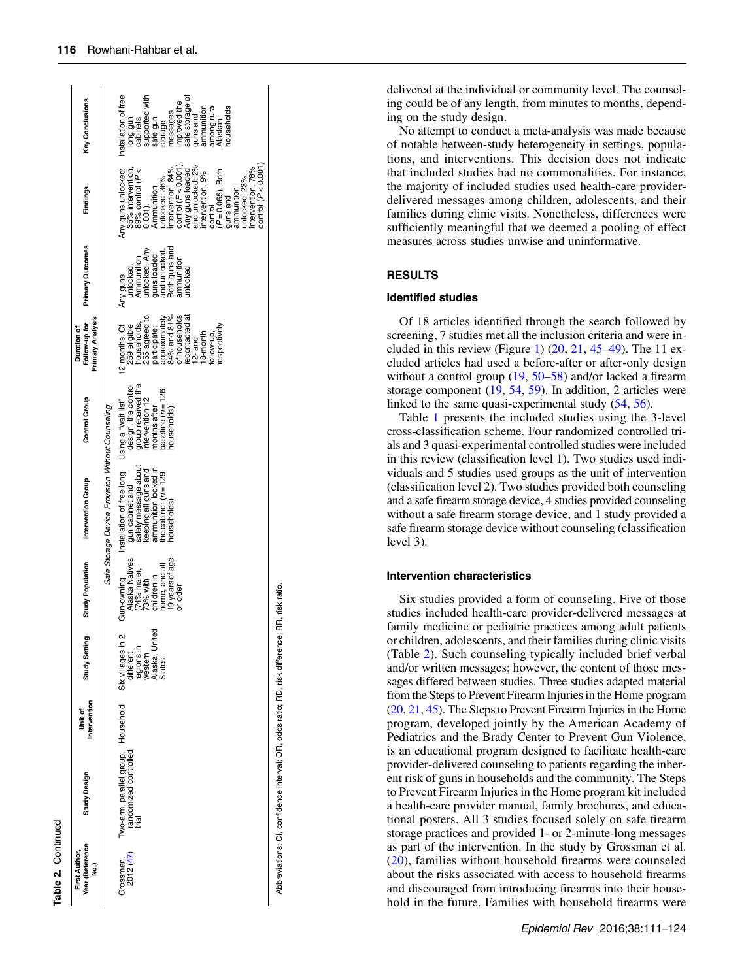| ì |
|---|
|   |
|   |
|   |
|   |
|   |
|   |
| í |
|   |
|   |
|   |
|   |

 $\overline{a}$ 

Abbreviations: CI, confidence interval; OR, odds ratio; RD, risk difference; RR, risk ratio. Abbreviations: CI, confidence interval; OR, odds ratio; RD, risk difference; RR, risk ratio

intervention, 78% control (P < 0.001) delivered at the individual or community level. The counseling could be of any length, from minutes to months, depending on the study design.

No attempt to conduct a meta-analysis was made because of notable between-study heterogeneity in settings, populations, and interventions. This decision does not indicate that included studies had no commonalities. For instance, the majority of included studies used health-care providerdelivered messages among children, adolescents, and their families during clinic visits. Nonetheless, differences were sufficiently meaningful that we deemed a pooling of effect measures across studies unwise and uninformative.

# RESULTS

#### Identified studies

Of 18 articles identified through the search followed by screening, 7 studies met all the inclusion criteria and were included in this review (Figure 1)  $(20, 21, 45-49)$ . The 11 excluded articles had used a before-after or after-only design without a control group (19, 50–58) and/or lacked a firearm storage component (19, 54, 59). In addition, 2 articles were linked to the same quasi-experimental study (54, 56).

Table 1 presents the included studies using the 3-level cross-classification scheme. Four randomized controlled trials and 3 quasi-experimental controlled studies were included in this review (classification level 1). Two studies used individuals and 5 studies used groups as the unit of intervention (classification level 2). Two studies provided both counseling and a safe firearm storage device, 4 studies provided counseling without a safe firearm storage device, and 1 study provided a safe firearm storage device without counseling (classification level 3).

#### Intervention characteristics

Six studies provided a form of counseling. Five of those studies included health-care provider-delivered messages at family medicine or pediatric practices among adult patients or children, adolescents, and their families during clinic visits (Table 2). Such counseling typically included brief verbal and/or written messages; however, the content of those messages differed between studies. Three studies adapted material from the Steps to Prevent Firearm Injuries in the Home program (20, 21, 45). The Steps to Prevent Firearm Injuries in the Home program, developed jointly by the American Academy of Pediatrics and the Brady Center to Prevent Gun Violence, is an educational program designed to facilitate health-care provider-delivered counseling to patients regarding the inherent risk of guns in households and the community. The Steps to Prevent Firearm Injuries in the Home program kit included a health-care provider manual, family brochures, and educational posters. All 3 studies focused solely on safe firearm storage practices and provided 1- or 2-minute-long messages as part of the intervention. In the study by Grossman et al. (20), families without household firearms were counseled about the risks associated with access to household firearms and discouraged from introducing firearms into their household in the future. Families with household firearms were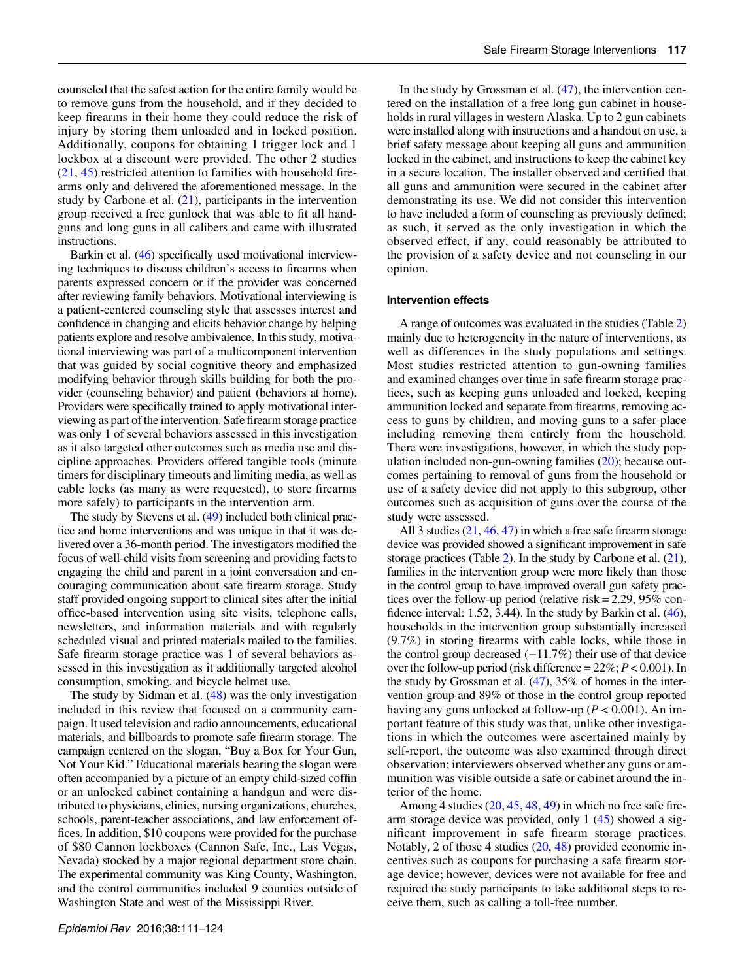counseled that the safest action for the entire family would be to remove guns from the household, and if they decided to keep firearms in their home they could reduce the risk of injury by storing them unloaded and in locked position. Additionally, coupons for obtaining 1 trigger lock and 1 lockbox at a discount were provided. The other 2 studies (21, 45) restricted attention to families with household firearms only and delivered the aforementioned message. In the study by Carbone et al.  $(21)$ , participants in the intervention group received a free gunlock that was able to fit all handguns and long guns in all calibers and came with illustrated instructions.

Barkin et al. (46) specifically used motivational interviewing techniques to discuss children's access to firearms when parents expressed concern or if the provider was concerned after reviewing family behaviors. Motivational interviewing is a patient-centered counseling style that assesses interest and confidence in changing and elicits behavior change by helping patients explore and resolve ambivalence. In this study, motivational interviewing was part of a multicomponent intervention that was guided by social cognitive theory and emphasized modifying behavior through skills building for both the provider (counseling behavior) and patient (behaviors at home). Providers were specifically trained to apply motivational interviewing as part of the intervention. Safe firearm storage practice was only 1 of several behaviors assessed in this investigation as it also targeted other outcomes such as media use and discipline approaches. Providers offered tangible tools (minute timers for disciplinary timeouts and limiting media, as well as cable locks (as many as were requested), to store firearms more safely) to participants in the intervention arm.

The study by Stevens et al. (49) included both clinical practice and home interventions and was unique in that it was delivered over a 36-month period. The investigators modified the focus of well-child visits from screening and providing facts to engaging the child and parent in a joint conversation and encouraging communication about safe firearm storage. Study staff provided ongoing support to clinical sites after the initial office-based intervention using site visits, telephone calls, newsletters, and information materials and with regularly scheduled visual and printed materials mailed to the families. Safe firearm storage practice was 1 of several behaviors assessed in this investigation as it additionally targeted alcohol consumption, smoking, and bicycle helmet use.

The study by Sidman et al. (48) was the only investigation included in this review that focused on a community campaign. It used television and radio announcements, educational materials, and billboards to promote safe firearm storage. The campaign centered on the slogan, "Buy a Box for Your Gun, Not Your Kid." Educational materials bearing the slogan were often accompanied by a picture of an empty child-sized coffin or an unlocked cabinet containing a handgun and were distributed to physicians, clinics, nursing organizations, churches, schools, parent-teacher associations, and law enforcement offices. In addition, \$10 coupons were provided for the purchase of \$80 Cannon lockboxes (Cannon Safe, Inc., Las Vegas, Nevada) stocked by a major regional department store chain. The experimental community was King County, Washington, and the control communities included 9 counties outside of Washington State and west of the Mississippi River.

In the study by Grossman et al.  $(47)$ , the intervention centered on the installation of a free long gun cabinet in households in rural villages in western Alaska. Up to 2 gun cabinets were installed along with instructions and a handout on use, a brief safety message about keeping all guns and ammunition locked in the cabinet, and instructions to keep the cabinet key in a secure location. The installer observed and certified that all guns and ammunition were secured in the cabinet after demonstrating its use. We did not consider this intervention to have included a form of counseling as previously defined; as such, it served as the only investigation in which the observed effect, if any, could reasonably be attributed to the provision of a safety device and not counseling in our opinion.

#### Intervention effects

A range of outcomes was evaluated in the studies (Table 2) mainly due to heterogeneity in the nature of interventions, as well as differences in the study populations and settings. Most studies restricted attention to gun-owning families and examined changes over time in safe firearm storage practices, such as keeping guns unloaded and locked, keeping ammunition locked and separate from firearms, removing access to guns by children, and moving guns to a safer place including removing them entirely from the household. There were investigations, however, in which the study population included non-gun-owning families (20); because outcomes pertaining to removal of guns from the household or use of a safety device did not apply to this subgroup, other outcomes such as acquisition of guns over the course of the study were assessed.

All 3 studies  $(21, 46, 47)$  in which a free safe firearm storage device was provided showed a significant improvement in safe storage practices (Table 2). In the study by Carbone et al.  $(21)$ , families in the intervention group were more likely than those in the control group to have improved overall gun safety practices over the follow-up period (relative risk = 2.29, 95% confidence interval: 1.52, 3.44). In the study by Barkin et al.  $(46)$ , households in the intervention group substantially increased (9.7%) in storing firearms with cable locks, while those in the control group decreased (−11.7%) their use of that device over the follow-up period (risk difference =  $22\%; P < 0.001$ ). In the study by Grossman et al. (47), 35% of homes in the intervention group and 89% of those in the control group reported having any guns unlocked at follow-up ( $P < 0.001$ ). An important feature of this study was that, unlike other investigations in which the outcomes were ascertained mainly by self-report, the outcome was also examined through direct observation; interviewers observed whether any guns or ammunition was visible outside a safe or cabinet around the interior of the home.

Among 4 studies  $(20, 45, 48, 49)$  in which no free safe firearm storage device was provided, only 1 (45) showed a significant improvement in safe firearm storage practices. Notably, 2 of those 4 studies (20, 48) provided economic incentives such as coupons for purchasing a safe firearm storage device; however, devices were not available for free and required the study participants to take additional steps to receive them, such as calling a toll-free number.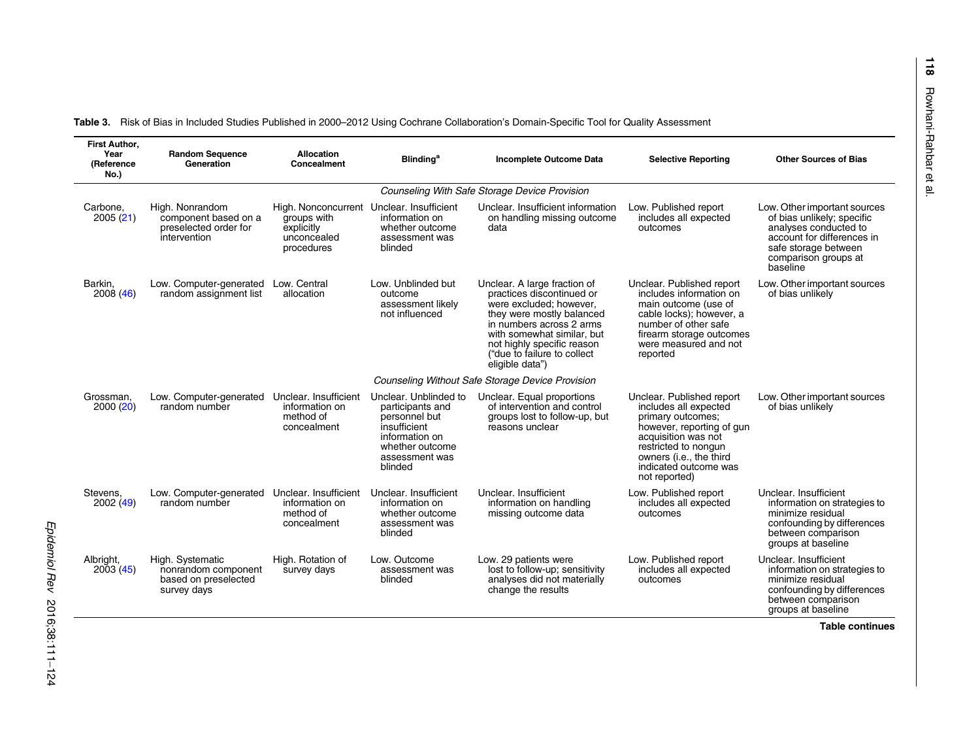| First Author,<br>Year<br>(Reference<br>No.) | <b>Random Sequence</b><br>Generation                                             | <b>Allocation</b><br>Concealment                                    | <b>Blinding<sup>a</sup></b>                                                                                                                  | Incomplete Outcome Data                                                                                                                                                                                                                                      | <b>Selective Reporting</b>                                                                                                                                                                                               | <b>Other Sources of Bias</b>                                                                                                                                                  |
|---------------------------------------------|----------------------------------------------------------------------------------|---------------------------------------------------------------------|----------------------------------------------------------------------------------------------------------------------------------------------|--------------------------------------------------------------------------------------------------------------------------------------------------------------------------------------------------------------------------------------------------------------|--------------------------------------------------------------------------------------------------------------------------------------------------------------------------------------------------------------------------|-------------------------------------------------------------------------------------------------------------------------------------------------------------------------------|
|                                             |                                                                                  |                                                                     |                                                                                                                                              | Counseling With Safe Storage Device Provision                                                                                                                                                                                                                |                                                                                                                                                                                                                          |                                                                                                                                                                               |
| Carbone.<br>2005(21)                        | High, Nonrandom<br>component based on a<br>preselected order for<br>intervention | groups with<br>explicitly<br>unconcealed<br>procedures              | High. Nonconcurrent Unclear. Insufficient<br>information on<br>whether outcome<br>assessment was<br>blinded                                  | Unclear, Insufficient information<br>on handling missing outcome<br>data                                                                                                                                                                                     | Low. Published report<br>includes all expected<br>outcomes                                                                                                                                                               | Low. Other important sources<br>of bias unlikely; specific<br>analyses conducted to<br>account for differences in<br>safe storage between<br>comparison groups at<br>baseline |
| Barkin.<br>2008(46)                         | Low. Computer-generated<br>random assignment list                                | Low. Central<br>allocation                                          | Low. Unblinded but<br>outcome<br>assessment likely<br>not influenced                                                                         | Unclear. A large fraction of<br>practices discontinued or<br>were excluded: however.<br>they were mostly balanced<br>in numbers across 2 arms<br>with somewhat similar, but<br>not highly specific reason<br>("due to failure to collect"<br>eligible data") | Unclear. Published report<br>includes information on<br>main outcome (use of<br>cable locks); however, a<br>number of other safe<br>firearm storage outcomes<br>were measured and not<br>reported                        | Low. Other important sources<br>of bias unlikely                                                                                                                              |
|                                             |                                                                                  |                                                                     |                                                                                                                                              | Counseling Without Safe Storage Device Provision                                                                                                                                                                                                             |                                                                                                                                                                                                                          |                                                                                                                                                                               |
| Grossman.<br>2000(20)                       | Low. Computer-generated<br>random number                                         | Unclear, Insufficient<br>information on<br>method of<br>concealment | Unclear, Unblinded to<br>participants and<br>personnel but<br>insufficient<br>information on<br>whether outcome<br>assessment was<br>blinded | Unclear. Equal proportions<br>of intervention and control<br>groups lost to follow-up, but<br>reasons unclear                                                                                                                                                | Unclear. Published report<br>includes all expected<br>primary outcomes;<br>however, reporting of gun<br>acquisition was not<br>restricted to nongun<br>owners (i.e., the third<br>indicated outcome was<br>not reported) | Low. Other important sources<br>of bias unlikely                                                                                                                              |
| Stevens.<br>2002(49)                        | Low. Computer-generated<br>random number                                         | Unclear, Insufficient<br>information on<br>method of<br>concealment | Unclear. Insufficient<br>information on<br>whether outcome<br>assessment was<br>blinded                                                      | Unclear, Insufficient<br>information on handling<br>missing outcome data                                                                                                                                                                                     | Low. Published report<br>includes all expected<br>outcomes                                                                                                                                                               | Unclear. Insufficient<br>information on strategies to<br>minimize residual<br>confounding by differences<br>between comparison<br>groups at baseline                          |
| Albright,<br>2003(45)                       | High. Systematic<br>nonrandom component<br>based on preselected<br>survey days   | High. Rotation of<br>survey days                                    | Low. Outcome<br>assessment was<br>blinded                                                                                                    | Low. 29 patients were<br>lost to follow-up; sensitivity<br>analyses did not materially<br>change the results                                                                                                                                                 | Low. Published report<br>includes all expected<br>outcomes                                                                                                                                                               | Unclear, Insufficient<br>information on strategies to<br>minimize residual<br>confounding by differences<br>between comparison<br>groups at baseline                          |

**Table 3.** Risk of Bias in Included Studies Published in 2000–2012 Using Cochrane Collaboration's Domain-Specific Tool for Quality Assessment

Table continues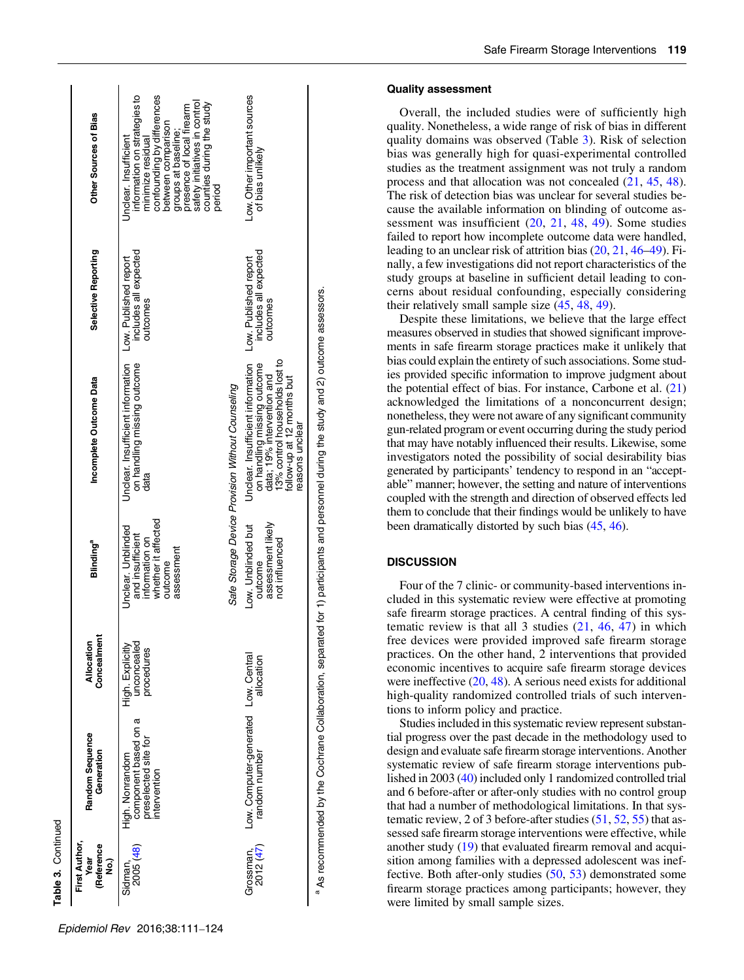| First Author,<br>(Reference<br>Year<br>Qo.) | Random Sequence<br>Generation                                                   | Concealment<br>Allocation                     | Blinding <sup>a</sup>                                                                                    | Incomplete Outcome Data                                                                                                                                                          | Selective Reporting                                        | Other Sources of Bias                                                                                                                                                                                                                                      |
|---------------------------------------------|---------------------------------------------------------------------------------|-----------------------------------------------|----------------------------------------------------------------------------------------------------------|----------------------------------------------------------------------------------------------------------------------------------------------------------------------------------|------------------------------------------------------------|------------------------------------------------------------------------------------------------------------------------------------------------------------------------------------------------------------------------------------------------------------|
| 2005 (48)<br>Sidman,                        | component based on a<br>preselected site for<br>High. Nonrandom<br>intervention | unconcealed<br>High. Explicitly<br>procedures | whether it affected<br>Unclear. Unblinded<br>and insufficient<br>information on<br>assessment<br>outcome | Unclear. Insufficient information<br>on handling missing outcome<br>data                                                                                                         | includes all expected<br>Low. Published report<br>outcomes | information on strategies to<br>confounding by differences<br>safety initiatives in control<br>counties during the study<br>presence of local firearm<br>between comparison<br>groups at baseline:<br>Jnclear. Insufficient<br>minimize residual<br>period |
|                                             |                                                                                 |                                               |                                                                                                          | Safe Storage Device Provision Without Counseling                                                                                                                                 |                                                            |                                                                                                                                                                                                                                                            |
| 2012 (47)<br>Grossman,                      | Low. Computer-generated Low. Central<br>random number                           | allocation                                    | assessment likely<br>Low. Unblinded but<br>not influenced<br>outcome                                     | 13% control households lost to<br>Unclear. Insufficient information<br>on handling missing outcome<br>data: 19% intervention and<br>follow-up at 12 months but<br>easons unclear | includes all expected<br>Low. Published report<br>outcomes | Low. Other important sources<br>of bias unlikely                                                                                                                                                                                                           |
|                                             |                                                                                 |                                               |                                                                                                          | <sup>a</sup> As recommended by the Cochrane Collaboration, separated for 1) participants and personnel during the study and 2) outcome assessors.                                |                                                            |                                                                                                                                                                                                                                                            |

#### Quality assessment

Overall, the included studies were of sufficiently high quality. Nonetheless, a wide range of risk of bias in different quality domains was observed (Table 3). Risk of selection bias was generally high for quasi-experimental controlled studies as the treatment assignment was not truly a random process and that allocation was not concealed (21, 45, 48). The risk of detection bias was unclear for several studies because the available information on blinding of outcome assessment was insufficient (20, 21, 48, 49). Some studies failed to report how incomplete outcome data were handled, leading to an unclear risk of attrition bias (20, 21, 46–49). Finally, a few investigations did not report characteristics of the study groups at baseline in sufficient detail leading to concerns about residual confounding, especially considering their relatively small sample size (45, 48, 49).

Despite these limitations, we believe that the large effect measures observed in studies that showed significant improvements in safe firearm storage practices make it unlikely that bias could explain the entirety of such associations. Some studies provided specific information to improve judgment about the potential effect of bias. For instance, Carbone et al.  $(21)$ acknowledged the limitations of a nonconcurrent design; nonetheless, they were not aware of any significant community gun-related program or event occurring during the study period that may have notably influenced their results. Likewise, some investigators noted the possibility of social desirability bias generated by participants' tendency to respond in an "acceptable" manner; however, the setting and nature of interventions coupled with the strength and direction of observed effects led them to conclude that their findings would be unlikely to have been dramatically distorted by such bias (45, 46).

# **DISCUSSION**

Four of the 7 clinic- or community-based interventions included in this systematic review were effective at promoting safe firearm storage practices. A central finding of this systematic review is that all 3 studies  $(21, 46, 47)$  in which free devices were provided improved safe firearm storage practices. On the other hand, 2 interventions that provided economic incentives to acquire safe firearm storage devices were ineffective  $(20, 48)$ . A serious need exists for additional high-quality randomized controlled trials of such interventions to inform policy and practice.

Studies included in this systematic review represent substantial progress over the past decade in the methodology used to design and evaluate safe firearm storage interventions. Another systematic review of safe firearm storage interventions published in 2003 (40) included only 1 randomized controlled trial and 6 before-after or after-only studies with no control group that had a number of methodological limitations. In that systematic review, 2 of 3 before-after studies (51, 52, 55) that assessed safe firearm storage interventions were effective, while another study (19) that evaluated firearm removal and acquisition among families with a depressed adolescent was ineffective. Both after-only studies (50, 53) demonstrated some firearm storage practices among participants; however, they were limited by small sample sizes.

Table 3. Continued

Continued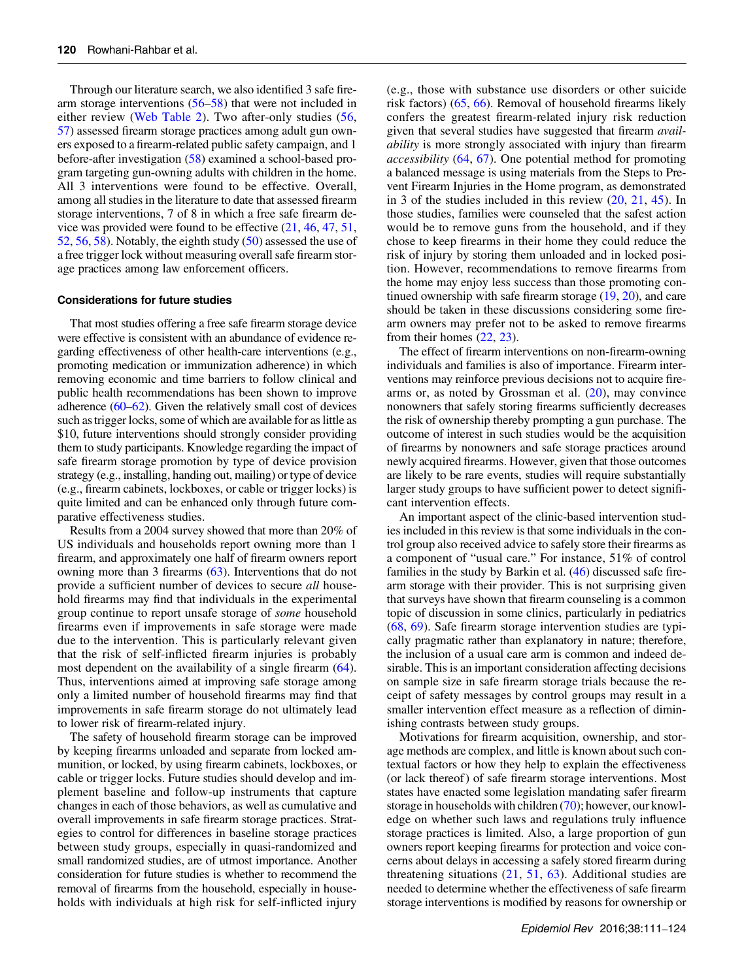Through our literature search, we also identified 3 safe firearm storage interventions  $(56–58)$  that were not included in either review (Web Table 2). Two after-only studies (56, 57) assessed firearm storage practices among adult gun owners exposed to a firearm-related public safety campaign, and 1 before-after investigation (58) examined a school-based program targeting gun-owning adults with children in the home. All 3 interventions were found to be effective. Overall, among all studies in the literature to date that assessed firearm storage interventions, 7 of 8 in which a free safe firearm device was provided were found to be effective (21, 46, 47, 51, 52, 56, 58). Notably, the eighth study (50) assessed the use of a free trigger lock without measuring overall safe firearm storage practices among law enforcement officers.

#### Considerations for future studies

That most studies offering a free safe firearm storage device were effective is consistent with an abundance of evidence regarding effectiveness of other health-care interventions (e.g., promoting medication or immunization adherence) in which removing economic and time barriers to follow clinical and public health recommendations has been shown to improve adherence  $(60-62)$ . Given the relatively small cost of devices such as trigger locks, some of which are available for as little as \$10, future interventions should strongly consider providing them to study participants. Knowledge regarding the impact of safe firearm storage promotion by type of device provision strategy (e.g., installing, handing out, mailing) or type of device (e.g., firearm cabinets, lockboxes, or cable or trigger locks) is quite limited and can be enhanced only through future comparative effectiveness studies.

Results from a 2004 survey showed that more than 20% of US individuals and households report owning more than 1 firearm, and approximately one half of firearm owners report owning more than 3 firearms (63). Interventions that do not provide a sufficient number of devices to secure all household firearms may find that individuals in the experimental group continue to report unsafe storage of some household firearms even if improvements in safe storage were made due to the intervention. This is particularly relevant given that the risk of self-inflicted firearm injuries is probably most dependent on the availability of a single firearm  $(64)$ . Thus, interventions aimed at improving safe storage among only a limited number of household firearms may find that improvements in safe firearm storage do not ultimately lead to lower risk of firearm-related injury.

The safety of household firearm storage can be improved by keeping firearms unloaded and separate from locked ammunition, or locked, by using firearm cabinets, lockboxes, or cable or trigger locks. Future studies should develop and implement baseline and follow-up instruments that capture changes in each of those behaviors, as well as cumulative and overall improvements in safe firearm storage practices. Strategies to control for differences in baseline storage practices between study groups, especially in quasi-randomized and small randomized studies, are of utmost importance. Another consideration for future studies is whether to recommend the removal of firearms from the household, especially in households with individuals at high risk for self-inflicted injury

(e.g., those with substance use disorders or other suicide risk factors) (65, 66). Removal of household firearms likely confers the greatest firearm-related injury risk reduction given that several studies have suggested that firearm availability is more strongly associated with injury than firearm accessibility (64, 67). One potential method for promoting a balanced message is using materials from the Steps to Prevent Firearm Injuries in the Home program, as demonstrated in 3 of the studies included in this review  $(20, 21, 45)$ . In those studies, families were counseled that the safest action would be to remove guns from the household, and if they chose to keep firearms in their home they could reduce the risk of injury by storing them unloaded and in locked position. However, recommendations to remove firearms from the home may enjoy less success than those promoting continued ownership with safe firearm storage (19, 20), and care should be taken in these discussions considering some firearm owners may prefer not to be asked to remove firearms from their homes  $(22, 23)$ .

The effect of firearm interventions on non-firearm-owning individuals and families is also of importance. Firearm interventions may reinforce previous decisions not to acquire firearms or, as noted by Grossman et al.  $(20)$ , may convince nonowners that safely storing firearms sufficiently decreases the risk of ownership thereby prompting a gun purchase. The outcome of interest in such studies would be the acquisition of firearms by nonowners and safe storage practices around newly acquired firearms. However, given that those outcomes are likely to be rare events, studies will require substantially larger study groups to have sufficient power to detect significant intervention effects.

An important aspect of the clinic-based intervention studies included in this review is that some individuals in the control group also received advice to safely store their firearms as a component of "usual care." For instance, 51% of control families in the study by Barkin et al.  $(46)$  discussed safe firearm storage with their provider. This is not surprising given that surveys have shown that firearm counseling is a common topic of discussion in some clinics, particularly in pediatrics (68, 69). Safe firearm storage intervention studies are typically pragmatic rather than explanatory in nature; therefore, the inclusion of a usual care arm is common and indeed desirable. This is an important consideration affecting decisions on sample size in safe firearm storage trials because the receipt of safety messages by control groups may result in a smaller intervention effect measure as a reflection of diminishing contrasts between study groups.

Motivations for firearm acquisition, ownership, and storage methods are complex, and little is known about such contextual factors or how they help to explain the effectiveness (or lack thereof ) of safe firearm storage interventions. Most states have enacted some legislation mandating safer firearm storage in households with children  $(70)$ ; however, our knowledge on whether such laws and regulations truly influence storage practices is limited. Also, a large proportion of gun owners report keeping firearms for protection and voice concerns about delays in accessing a safely stored firearm during threatening situations  $(21, 51, 63)$ . Additional studies are needed to determine whether the effectiveness of safe firearm storage interventions is modified by reasons for ownership or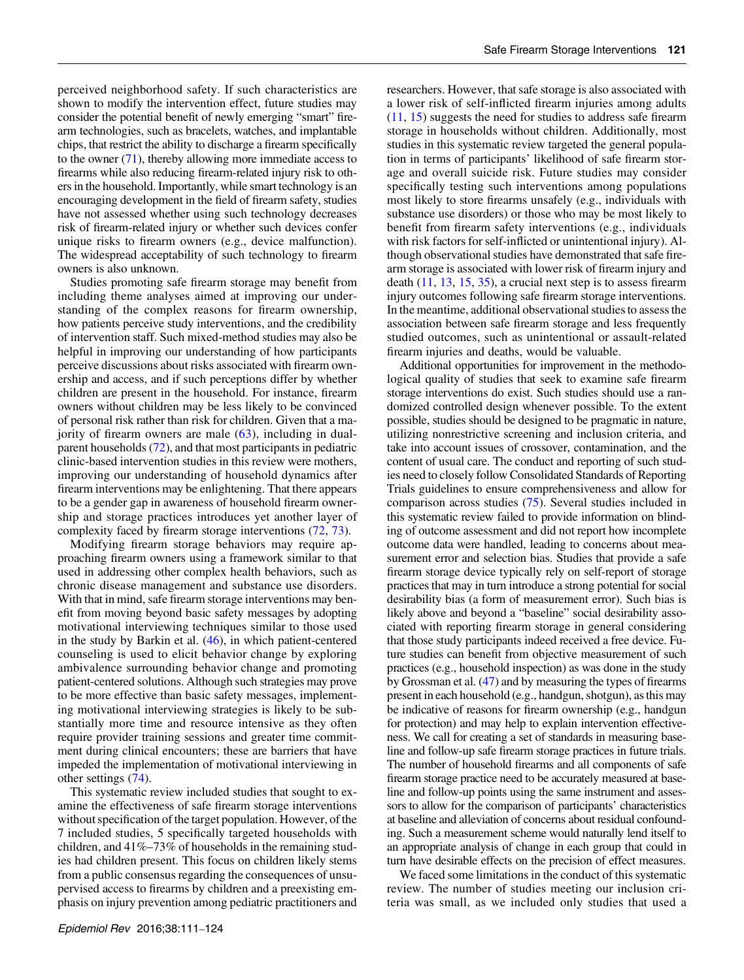perceived neighborhood safety. If such characteristics are shown to modify the intervention effect, future studies may consider the potential benefit of newly emerging "smart" firearm technologies, such as bracelets, watches, and implantable chips, that restrict the ability to discharge a firearm specifically to the owner  $(71)$ , thereby allowing more immediate access to firearms while also reducing firearm-related injury risk to others in the household. Importantly, while smart technology is an encouraging development in the field of firearm safety, studies have not assessed whether using such technology decreases risk of firearm-related injury or whether such devices confer unique risks to firearm owners (e.g., device malfunction). The widespread acceptability of such technology to firearm owners is also unknown.

Studies promoting safe firearm storage may benefit from including theme analyses aimed at improving our understanding of the complex reasons for firearm ownership, how patients perceive study interventions, and the credibility of intervention staff. Such mixed-method studies may also be helpful in improving our understanding of how participants perceive discussions about risks associated with firearm ownership and access, and if such perceptions differ by whether children are present in the household. For instance, firearm owners without children may be less likely to be convinced of personal risk rather than risk for children. Given that a majority of firearm owners are male  $(63)$ , including in dualparent households (72), and that most participants in pediatric clinic-based intervention studies in this review were mothers, improving our understanding of household dynamics after firearm interventions may be enlightening. That there appears to be a gender gap in awareness of household firearm ownership and storage practices introduces yet another layer of complexity faced by firearm storage interventions (72, 73).

Modifying firearm storage behaviors may require approaching firearm owners using a framework similar to that used in addressing other complex health behaviors, such as chronic disease management and substance use disorders. With that in mind, safe firearm storage interventions may benefit from moving beyond basic safety messages by adopting motivational interviewing techniques similar to those used in the study by Barkin et al. (46), in which patient-centered counseling is used to elicit behavior change by exploring ambivalence surrounding behavior change and promoting patient-centered solutions. Although such strategies may prove to be more effective than basic safety messages, implementing motivational interviewing strategies is likely to be substantially more time and resource intensive as they often require provider training sessions and greater time commitment during clinical encounters; these are barriers that have impeded the implementation of motivational interviewing in other settings (74).

This systematic review included studies that sought to examine the effectiveness of safe firearm storage interventions without specification of the target population. However, of the 7 included studies, 5 specifically targeted households with children, and 41%–73% of households in the remaining studies had children present. This focus on children likely stems from a public consensus regarding the consequences of unsupervised access to firearms by children and a preexisting emphasis on injury prevention among pediatric practitioners and researchers. However, that safe storage is also associated with a lower risk of self-inflicted firearm injuries among adults (11, 15) suggests the need for studies to address safe firearm storage in households without children. Additionally, most studies in this systematic review targeted the general population in terms of participants' likelihood of safe firearm storage and overall suicide risk. Future studies may consider specifically testing such interventions among populations most likely to store firearms unsafely (e.g., individuals with substance use disorders) or those who may be most likely to benefit from firearm safety interventions (e.g., individuals with risk factors for self-inflicted or unintentional injury). Although observational studies have demonstrated that safe firearm storage is associated with lower risk of firearm injury and death  $(11, 13, 15, 35)$ , a crucial next step is to assess firearm injury outcomes following safe firearm storage interventions. In the meantime, additional observational studies to assess the association between safe firearm storage and less frequently studied outcomes, such as unintentional or assault-related firearm injuries and deaths, would be valuable.

Additional opportunities for improvement in the methodological quality of studies that seek to examine safe firearm storage interventions do exist. Such studies should use a randomized controlled design whenever possible. To the extent possible, studies should be designed to be pragmatic in nature, utilizing nonrestrictive screening and inclusion criteria, and take into account issues of crossover, contamination, and the content of usual care. The conduct and reporting of such studies need to closely follow Consolidated Standards of Reporting Trials guidelines to ensure comprehensiveness and allow for comparison across studies (75). Several studies included in this systematic review failed to provide information on blinding of outcome assessment and did not report how incomplete outcome data were handled, leading to concerns about measurement error and selection bias. Studies that provide a safe firearm storage device typically rely on self-report of storage practices that may in turn introduce a strong potential for social desirability bias (a form of measurement error). Such bias is likely above and beyond a "baseline" social desirability associated with reporting firearm storage in general considering that those study participants indeed received a free device. Future studies can benefit from objective measurement of such practices (e.g., household inspection) as was done in the study by Grossman et al. (47) and by measuring the types of firearms present in each household (e.g., handgun, shotgun), as this may be indicative of reasons for firearm ownership (e.g., handgun for protection) and may help to explain intervention effectiveness. We call for creating a set of standards in measuring baseline and follow-up safe firearm storage practices in future trials. The number of household firearms and all components of safe firearm storage practice need to be accurately measured at baseline and follow-up points using the same instrument and assessors to allow for the comparison of participants' characteristics at baseline and alleviation of concerns about residual confounding. Such a measurement scheme would naturally lend itself to an appropriate analysis of change in each group that could in turn have desirable effects on the precision of effect measures.

We faced some limitations in the conduct of this systematic review. The number of studies meeting our inclusion criteria was small, as we included only studies that used a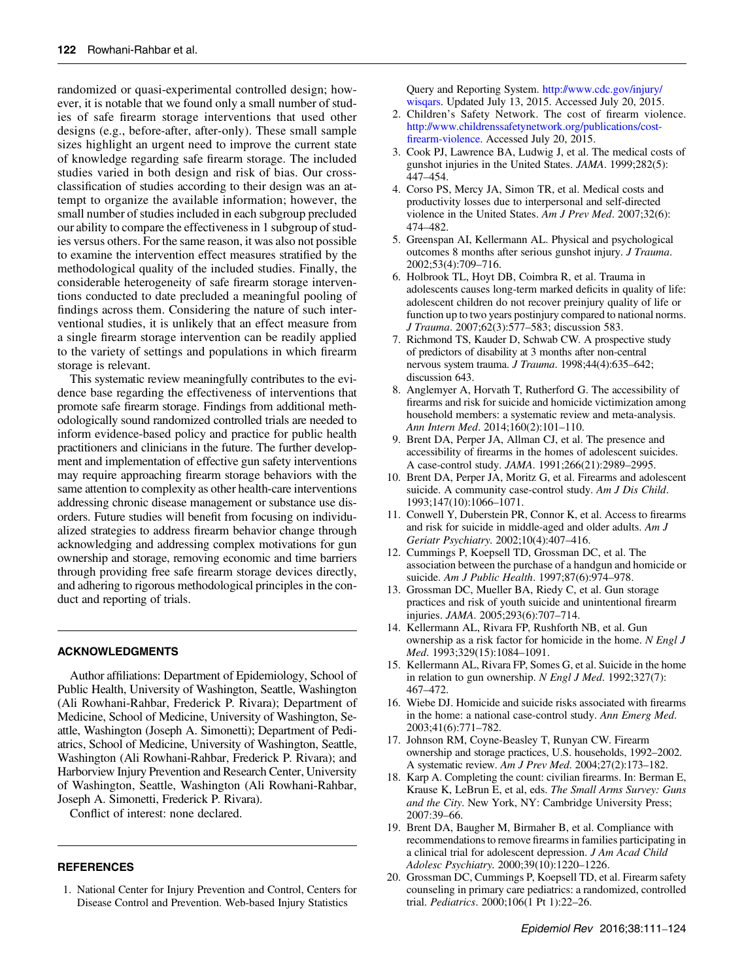randomized or quasi-experimental controlled design; however, it is notable that we found only a small number of studies of safe firearm storage interventions that used other designs (e.g., before-after, after-only). These small sample sizes highlight an urgent need to improve the current state of knowledge regarding safe firearm storage. The included studies varied in both design and risk of bias. Our crossclassification of studies according to their design was an attempt to organize the available information; however, the small number of studies included in each subgroup precluded our ability to compare the effectiveness in 1 subgroup of studies versus others. For the same reason, it was also not possible to examine the intervention effect measures stratified by the methodological quality of the included studies. Finally, the considerable heterogeneity of safe firearm storage interventions conducted to date precluded a meaningful pooling of findings across them. Considering the nature of such interventional studies, it is unlikely that an effect measure from a single firearm storage intervention can be readily applied to the variety of settings and populations in which firearm storage is relevant.

This systematic review meaningfully contributes to the evidence base regarding the effectiveness of interventions that promote safe firearm storage. Findings from additional methodologically sound randomized controlled trials are needed to inform evidence-based policy and practice for public health practitioners and clinicians in the future. The further development and implementation of effective gun safety interventions may require approaching firearm storage behaviors with the same attention to complexity as other health-care interventions addressing chronic disease management or substance use disorders. Future studies will benefit from focusing on individualized strategies to address firearm behavior change through acknowledging and addressing complex motivations for gun ownership and storage, removing economic and time barriers through providing free safe firearm storage devices directly, and adhering to rigorous methodological principles in the conduct and reporting of trials.

#### ACKNOWLEDGMENTS

Author affiliations: Department of Epidemiology, School of Public Health, University of Washington, Seattle, Washington (Ali Rowhani-Rahbar, Frederick P. Rivara); Department of Medicine, School of Medicine, University of Washington, Seattle, Washington (Joseph A. Simonetti); Department of Pediatrics, School of Medicine, University of Washington, Seattle, Washington (Ali Rowhani-Rahbar, Frederick P. Rivara); and Harborview Injury Prevention and Research Center, University of Washington, Seattle, Washington (Ali Rowhani-Rahbar, Joseph A. Simonetti, Frederick P. Rivara).

Conflict of interest: none declared.

#### **REFERENCES**

1. National Center for Injury Prevention and Control, Centers for Disease Control and Prevention. Web-based Injury Statistics

Query and Reporting System. http://www.cdc.gov/injury/ wisqars. Updated July 13, 2015. Accessed July 20, 2015.

- 2. Children's Safety Network. The cost of firearm violence. http://www.childrenssafetynetwork.org/publications/costfirearm-violence. Accessed July 20, 2015.
- 3. Cook PJ, Lawrence BA, Ludwig J, et al. The medical costs of gunshot injuries in the United States. JAMA. 1999;282(5): 447–454.
- 4. Corso PS, Mercy JA, Simon TR, et al. Medical costs and productivity losses due to interpersonal and self-directed violence in the United States. Am J Prev Med. 2007;32(6): 474–482.
- 5. Greenspan AI, Kellermann AL. Physical and psychological outcomes 8 months after serious gunshot injury. J Trauma. 2002;53(4):709–716.
- 6. Holbrook TL, Hoyt DB, Coimbra R, et al. Trauma in adolescents causes long-term marked deficits in quality of life: adolescent children do not recover preinjury quality of life or function up to two years postinjury compared to national norms. J Trauma. 2007;62(3):577–583; discussion 583.
- 7. Richmond TS, Kauder D, Schwab CW. A prospective study of predictors of disability at 3 months after non-central nervous system trauma. J Trauma. 1998;44(4):635-642; discussion 643.
- 8. Anglemyer A, Horvath T, Rutherford G. The accessibility of firearms and risk for suicide and homicide victimization among household members: a systematic review and meta-analysis. Ann Intern Med. 2014;160(2):101–110.
- 9. Brent DA, Perper JA, Allman CJ, et al. The presence and accessibility of firearms in the homes of adolescent suicides. A case-control study. JAMA. 1991;266(21):2989–2995.
- 10. Brent DA, Perper JA, Moritz G, et al. Firearms and adolescent suicide. A community case-control study. Am J Dis Child. 1993;147(10):1066–1071.
- 11. Conwell Y, Duberstein PR, Connor K, et al. Access to firearms and risk for suicide in middle-aged and older adults. Am J Geriatr Psychiatry. 2002;10(4):407–416.
- 12. Cummings P, Koepsell TD, Grossman DC, et al. The association between the purchase of a handgun and homicide or suicide. Am J Public Health. 1997;87(6):974–978.
- 13. Grossman DC, Mueller BA, Riedy C, et al. Gun storage practices and risk of youth suicide and unintentional firearm injuries. JAMA. 2005;293(6):707–714.
- 14. Kellermann AL, Rivara FP, Rushforth NB, et al. Gun ownership as a risk factor for homicide in the home. N Engl J Med. 1993;329(15):1084–1091.
- 15. Kellermann AL, Rivara FP, Somes G, et al. Suicide in the home in relation to gun ownership. N Engl J Med. 1992;327(7): 467–472.
- 16. Wiebe DJ. Homicide and suicide risks associated with firearms in the home: a national case-control study. Ann Emerg Med. 2003;41(6):771–782.
- 17. Johnson RM, Coyne-Beasley T, Runyan CW. Firearm ownership and storage practices, U.S. households, 1992–2002. A systematic review. Am J Prev Med. 2004;27(2):173–182.
- 18. Karp A. Completing the count: civilian firearms. In: Berman E, Krause K, LeBrun E, et al, eds. The Small Arms Survey: Guns and the City. New York, NY: Cambridge University Press; 2007:39–66.
- 19. Brent DA, Baugher M, Birmaher B, et al. Compliance with recommendations to remove firearms in families participating in a clinical trial for adolescent depression. J Am Acad Child Adolesc Psychiatry. 2000;39(10):1220–1226.
- 20. Grossman DC, Cummings P, Koepsell TD, et al. Firearm safety counseling in primary care pediatrics: a randomized, controlled trial. Pediatrics. 2000;106(1 Pt 1):22–26.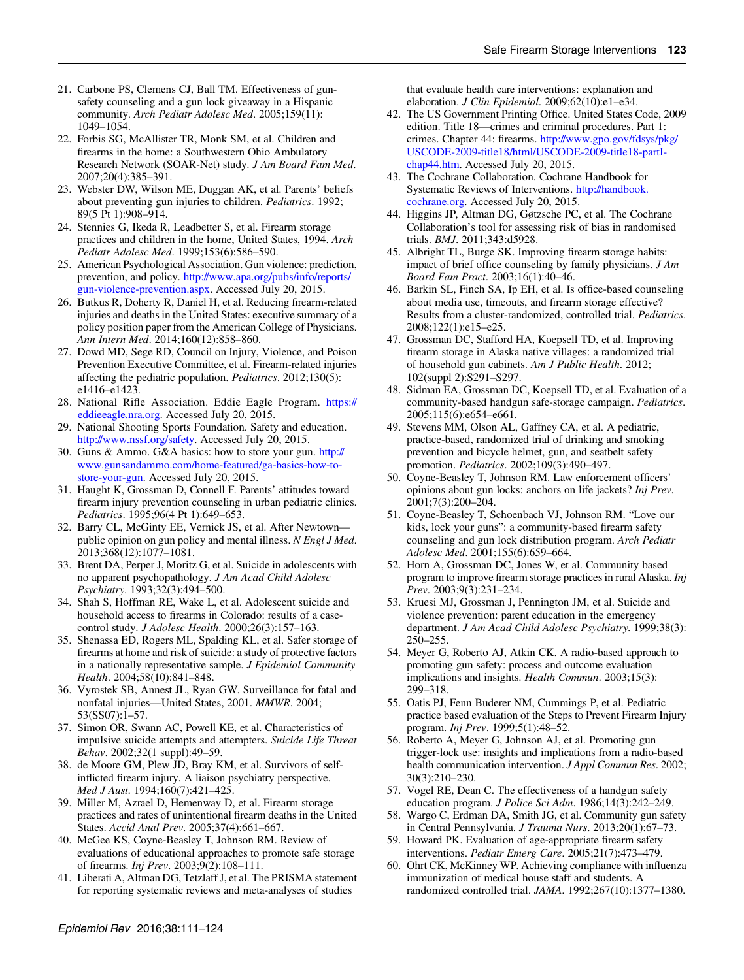- 21. Carbone PS, Clemens CJ, Ball TM. Effectiveness of gunsafety counseling and a gun lock giveaway in a Hispanic community. Arch Pediatr Adolesc Med. 2005;159(11): 1049–1054.
- 22. Forbis SG, McAllister TR, Monk SM, et al. Children and firearms in the home: a Southwestern Ohio Ambulatory Research Network (SOAR-Net) study. J Am Board Fam Med. 2007;20(4):385–391.
- 23. Webster DW, Wilson ME, Duggan AK, et al. Parents' beliefs about preventing gun injuries to children. Pediatrics. 1992; 89(5 Pt 1):908–914.
- 24. Stennies G, Ikeda R, Leadbetter S, et al. Firearm storage practices and children in the home, United States, 1994. Arch Pediatr Adolesc Med. 1999;153(6):586–590.
- 25. American Psychological Association. Gun violence: prediction, prevention, and policy. http://www.apa.org/pubs/info/reports/ gun-violence-prevention.aspx. Accessed July 20, 2015.
- 26. Butkus R, Doherty R, Daniel H, et al. Reducing firearm-related injuries and deaths in the United States: executive summary of a policy position paper from the American College of Physicians. Ann Intern Med. 2014;160(12):858–860.
- 27. Dowd MD, Sege RD, Council on Injury, Violence, and Poison Prevention Executive Committee, et al. Firearm-related injuries affecting the pediatric population. Pediatrics. 2012;130(5): e1416–e1423.
- 28. National Rifle Association. Eddie Eagle Program. https:// eddieeagle.nra.org. Accessed July 20, 2015.
- 29. National Shooting Sports Foundation. Safety and education. http://www.nssf.org/safety. Accessed July 20, 2015.
- 30. Guns & Ammo. G&A basics: how to store your gun. http:// www.gunsandammo.com/home-featured/ga-basics-how-tostore-your-gun. Accessed July 20, 2015.
- 31. Haught K, Grossman D, Connell F. Parents' attitudes toward firearm injury prevention counseling in urban pediatric clinics. Pediatrics. 1995;96(4 Pt 1):649–653.
- 32. Barry CL, McGinty EE, Vernick JS, et al. After Newtown public opinion on gun policy and mental illness. N Engl J Med. 2013;368(12):1077–1081.
- 33. Brent DA, Perper J, Moritz G, et al. Suicide in adolescents with no apparent psychopathology. J Am Acad Child Adolesc Psychiatry. 1993;32(3):494–500.
- 34. Shah S, Hoffman RE, Wake L, et al. Adolescent suicide and household access to firearms in Colorado: results of a casecontrol study. J Adolesc Health. 2000;26(3):157–163.
- 35. Shenassa ED, Rogers ML, Spalding KL, et al. Safer storage of firearms at home and risk of suicide: a study of protective factors in a nationally representative sample. J Epidemiol Community Health. 2004;58(10):841–848.
- 36. Vyrostek SB, Annest JL, Ryan GW. Surveillance for fatal and nonfatal injuries—United States, 2001. MMWR. 2004; 53(SS07):1–57.
- 37. Simon OR, Swann AC, Powell KE, et al. Characteristics of impulsive suicide attempts and attempters. Suicide Life Threat Behav. 2002;32(1 suppl):49–59.
- 38. de Moore GM, Plew JD, Bray KM, et al. Survivors of selfinflicted firearm injury. A liaison psychiatry perspective. Med J Aust. 1994;160(7):421–425.
- 39. Miller M, Azrael D, Hemenway D, et al. Firearm storage practices and rates of unintentional firearm deaths in the United States. Accid Anal Prev. 2005;37(4):661–667.
- 40. McGee KS, Coyne-Beasley T, Johnson RM. Review of evaluations of educational approaches to promote safe storage of firearms. Inj Prev. 2003;9(2):108–111.
- 41. Liberati A, Altman DG, Tetzlaff J, et al. The PRISMA statement for reporting systematic reviews and meta-analyses of studies

that evaluate health care interventions: explanation and elaboration. J Clin Epidemiol. 2009;62(10):e1–e34.

- 42. The US Government Printing Office. United States Code, 2009 edition. Title 18—crimes and criminal procedures. Part 1: crimes. Chapter 44: firearms. http://www.gpo.gov/fdsys/pkg/ USCODE-2009-title18/html/USCODE-2009-title18-partIchap44.htm. Accessed July 20, 2015.
- 43. The Cochrane Collaboration. Cochrane Handbook for Systematic Reviews of Interventions. http://handbook. cochrane.org. Accessed July 20, 2015.
- 44. Higgins JP, Altman DG, Gøtzsche PC, et al. The Cochrane Collaboration's tool for assessing risk of bias in randomised trials. BMJ. 2011;343:d5928.
- 45. Albright TL, Burge SK. Improving firearm storage habits: impact of brief office counseling by family physicians. J Am Board Fam Pract. 2003;16(1):40–46.
- 46. Barkin SL, Finch SA, Ip EH, et al. Is office-based counseling about media use, timeouts, and firearm storage effective? Results from a cluster-randomized, controlled trial. Pediatrics. 2008;122(1):e15–e25.
- 47. Grossman DC, Stafford HA, Koepsell TD, et al. Improving firearm storage in Alaska native villages: a randomized trial of household gun cabinets. Am J Public Health. 2012; 102(suppl 2):S291–S297.
- 48. Sidman EA, Grossman DC, Koepsell TD, et al. Evaluation of a community-based handgun safe-storage campaign. Pediatrics. 2005;115(6):e654–e661.
- 49. Stevens MM, Olson AL, Gaffney CA, et al. A pediatric, practice-based, randomized trial of drinking and smoking prevention and bicycle helmet, gun, and seatbelt safety promotion. Pediatrics. 2002;109(3):490–497.
- 50. Coyne-Beasley T, Johnson RM. Law enforcement officers' opinions about gun locks: anchors on life jackets? Inj Prev. 2001;7(3):200–204.
- 51. Coyne-Beasley T, Schoenbach VJ, Johnson RM. "Love our kids, lock your guns": a community-based firearm safety counseling and gun lock distribution program. Arch Pediatr Adolesc Med. 2001;155(6):659–664.
- 52. Horn A, Grossman DC, Jones W, et al. Community based program to improve firearm storage practices in rural Alaska. Inj Prev. 2003;9(3):231–234.
- 53. Kruesi MJ, Grossman J, Pennington JM, et al. Suicide and violence prevention: parent education in the emergency department. J Am Acad Child Adolesc Psychiatry. 1999;38(3): 250–255.
- 54. Meyer G, Roberto AJ, Atkin CK. A radio-based approach to promoting gun safety: process and outcome evaluation implications and insights. Health Commun. 2003;15(3): 299–318.
- 55. Oatis PJ, Fenn Buderer NM, Cummings P, et al. Pediatric practice based evaluation of the Steps to Prevent Firearm Injury program. Inj Prev. 1999;5(1):48–52.
- 56. Roberto A, Meyer G, Johnson AJ, et al. Promoting gun trigger-lock use: insights and implications from a radio-based health communication intervention. J Appl Commun Res. 2002; 30(3):210–230.
- 57. Vogel RE, Dean C. The effectiveness of a handgun safety education program. J Police Sci Adm. 1986;14(3):242-249.
- 58. Wargo C, Erdman DA, Smith JG, et al. Community gun safety in Central Pennsylvania. J Trauma Nurs. 2013;20(1):67–73.
- 59. Howard PK. Evaluation of age-appropriate firearm safety interventions. Pediatr Emerg Care. 2005;21(7):473–479.
- 60. Ohrt CK, McKinney WP. Achieving compliance with influenza immunization of medical house staff and students. A randomized controlled trial. JAMA. 1992;267(10):1377–1380.